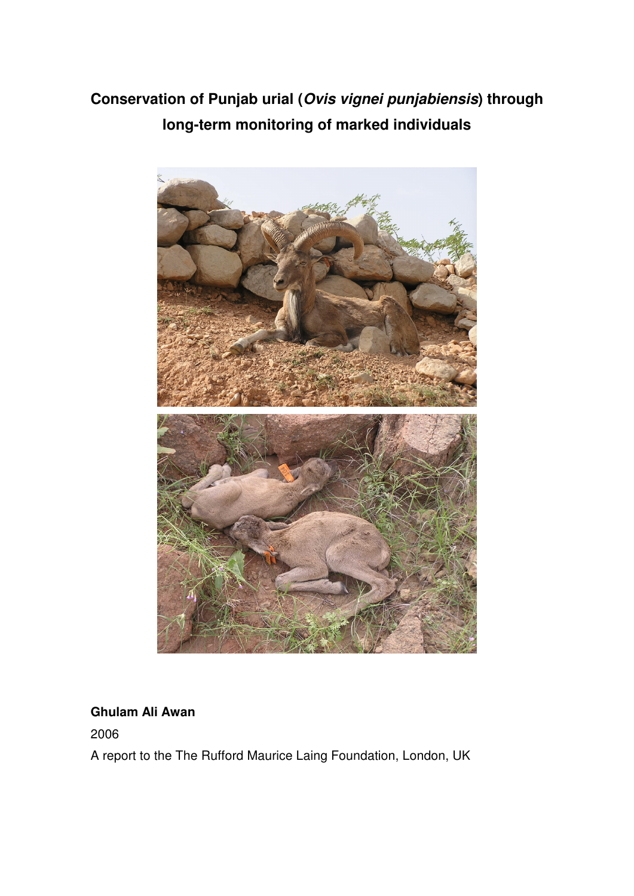# **Conservation of Punjab urial (Ovis vignei punjabiensis) through long-term monitoring of marked individuals**



# **Ghulam Ali Awan**

2006

A report to the The Rufford Maurice Laing Foundation, London, UK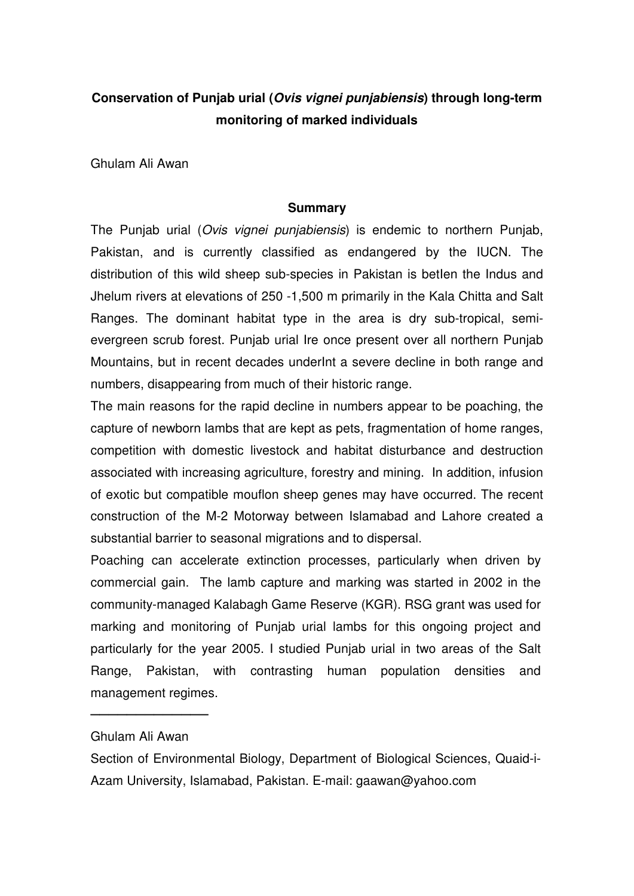# **Conservation of Punjab urial (Ovis vignei punjabiensis) through long-term monitoring of marked individuals**

Ghulam Ali Awan

#### **Summary**

The Punjab urial (Ovis vignei punjabiensis) is endemic to northern Punjab, Pakistan, and is currently classified as endangered by the IUCN. The distribution of this wild sheep sub-species in Pakistan is betlen the Indus and Jhelum rivers at elevations of 250 -1,500 m primarily in the Kala Chitta and Salt Ranges. The dominant habitat type in the area is dry sub-tropical, semievergreen scrub forest. Punjab urial Ire once present over all northern Punjab Mountains, but in recent decades underInt a severe decline in both range and numbers, disappearing from much of their historic range.

The main reasons for the rapid decline in numbers appear to be poaching, the capture of newborn lambs that are kept as pets, fragmentation of home ranges, competition with domestic livestock and habitat disturbance and destruction associated with increasing agriculture, forestry and mining. In addition, infusion of exotic but compatible mouflon sheep genes may have occurred. The recent construction of the M-2 Motorway between Islamabad and Lahore created a substantial barrier to seasonal migrations and to dispersal.

Poaching can accelerate extinction processes, particularly when driven by commercial gain. The lamb capture and marking was started in 2002 in the community-managed Kalabagh Game Reserve (KGR). RSG grant was used for marking and monitoring of Punjab urial lambs for this ongoing project and particularly for the year 2005. I studied Punjab urial in two areas of the Salt Range, Pakistan, with contrasting human population densities and management regimes.

────────────────────────<del>─</del>

Ghulam Ali Awan

Section of Environmental Biology, Department of Biological Sciences, Quaid-i-Azam University, Islamabad, Pakistan. E-mail: gaawan@yahoo.com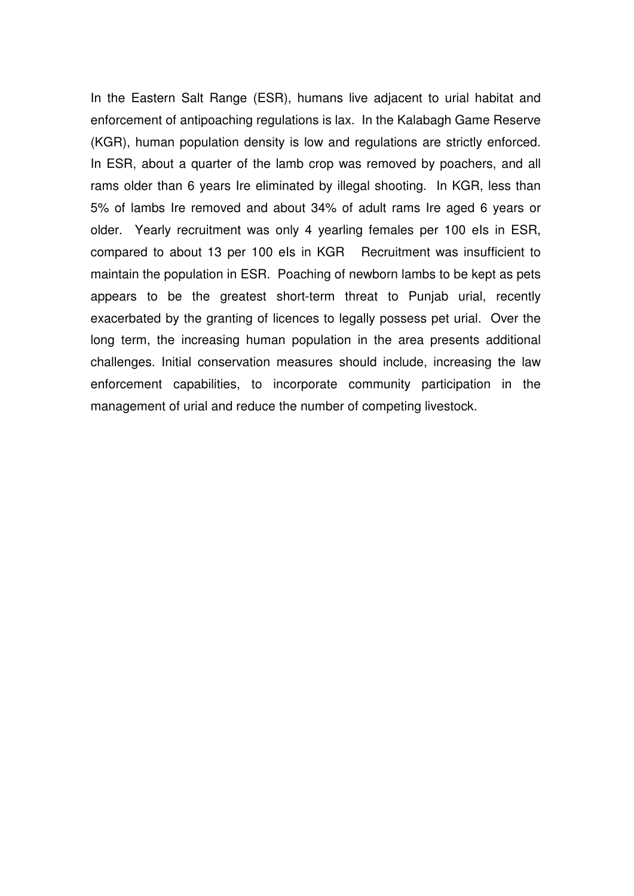In the Eastern Salt Range (ESR), humans live adjacent to urial habitat and enforcement of antipoaching regulations is lax. In the Kalabagh Game Reserve (KGR), human population density is low and regulations are strictly enforced. In ESR, about a quarter of the lamb crop was removed by poachers, and all rams older than 6 years Ire eliminated by illegal shooting. In KGR, less than 5% of lambs Ire removed and about 34% of adult rams Ire aged 6 years or older. Yearly recruitment was only 4 yearling females per 100 els in ESR, compared to about 13 per 100 els in KGR Recruitment was insufficient to maintain the population in ESR. Poaching of newborn lambs to be kept as pets appears to be the greatest short-term threat to Punjab urial, recently exacerbated by the granting of licences to legally possess pet urial. Over the long term, the increasing human population in the area presents additional challenges. Initial conservation measures should include, increasing the law enforcement capabilities, to incorporate community participation in the management of urial and reduce the number of competing livestock.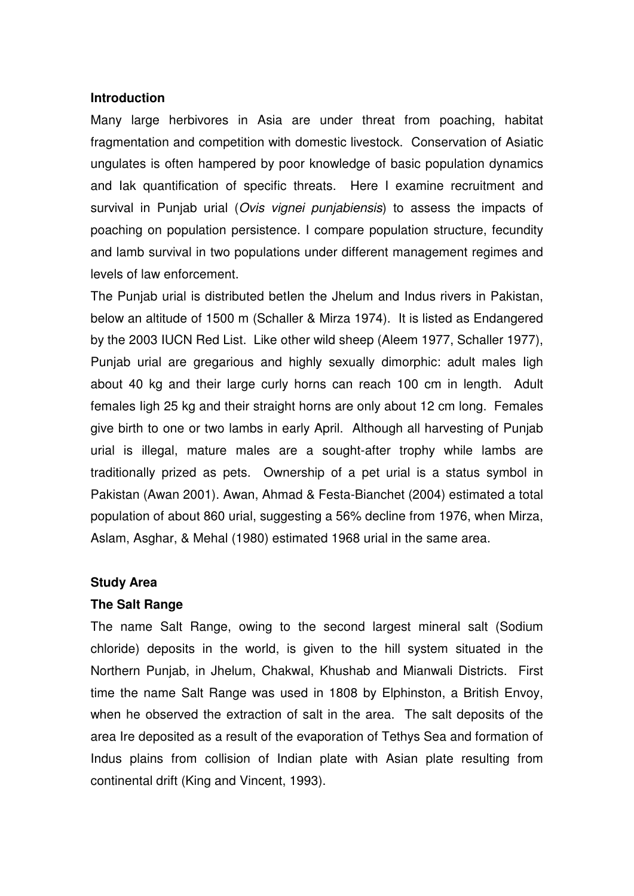#### **Introduction**

Many large herbivores in Asia are under threat from poaching, habitat fragmentation and competition with domestic livestock. Conservation of Asiatic ungulates is often hampered by poor knowledge of basic population dynamics and Iak quantification of specific threats. Here I examine recruitment and survival in Punjab urial (Ovis vignei punjabiensis) to assess the impacts of poaching on population persistence. I compare population structure, fecundity and lamb survival in two populations under different management regimes and levels of law enforcement.

The Punjab urial is distributed betlen the Jhelum and Indus rivers in Pakistan, below an altitude of 1500 m (Schaller & Mirza 1974). It is listed as Endangered by the 2003 IUCN Red List. Like other wild sheep (Aleem 1977, Schaller 1977), Punjab urial are gregarious and highly sexually dimorphic: adult males Iigh about 40 kg and their large curly horns can reach 100 cm in length. Adult females Iigh 25 kg and their straight horns are only about 12 cm long. Females give birth to one or two lambs in early April. Although all harvesting of Punjab urial is illegal, mature males are a sought-after trophy while lambs are traditionally prized as pets. Ownership of a pet urial is a status symbol in Pakistan (Awan 2001). Awan, Ahmad & Festa-Bianchet (2004) estimated a total population of about 860 urial, suggesting a 56% decline from 1976, when Mirza, Aslam, Asghar, & Mehal (1980) estimated 1968 urial in the same area.

#### **Study Area**

#### **The Salt Range**

The name Salt Range, owing to the second largest mineral salt (Sodium chloride) deposits in the world, is given to the hill system situated in the Northern Punjab, in Jhelum, Chakwal, Khushab and Mianwali Districts. First time the name Salt Range was used in 1808 by Elphinston, a British Envoy, when he observed the extraction of salt in the area. The salt deposits of the area Ire deposited as a result of the evaporation of Tethys Sea and formation of Indus plains from collision of Indian plate with Asian plate resulting from continental drift (King and Vincent, 1993).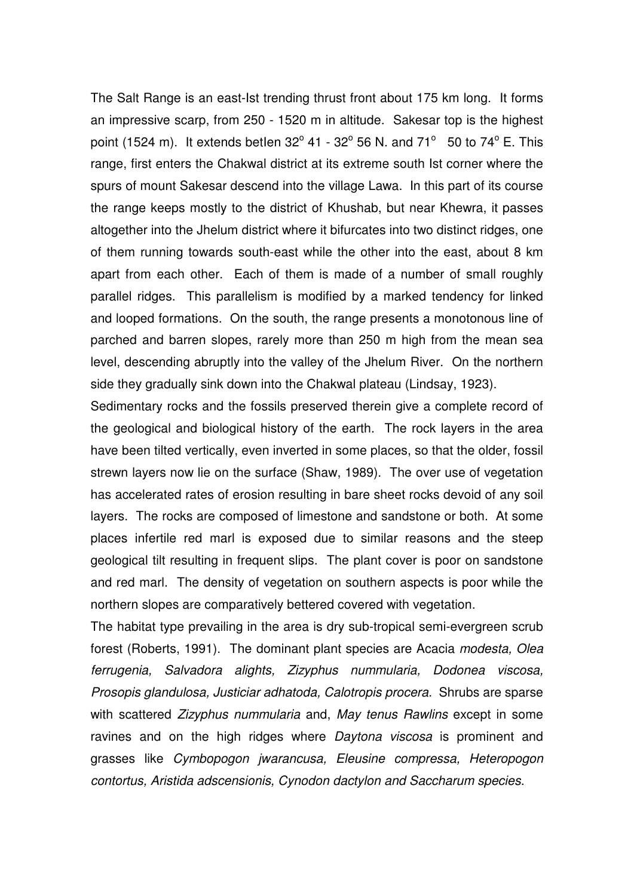The Salt Range is an east-Ist trending thrust front about 175 km long. It forms an impressive scarp, from 250 - 1520 m in altitude. Sakesar top is the highest point (1524 m). It extends betlen  $32^{\circ}$  41 -  $32^{\circ}$  56 N. and 71<sup>o</sup> 50 to 74<sup>o</sup> E. This range, first enters the Chakwal district at its extreme south Ist corner where the spurs of mount Sakesar descend into the village Lawa. In this part of its course the range keeps mostly to the district of Khushab, but near Khewra, it passes altogether into the Jhelum district where it bifurcates into two distinct ridges, one of them running towards south-east while the other into the east, about 8 km apart from each other. Each of them is made of a number of small roughly parallel ridges. This parallelism is modified by a marked tendency for linked and looped formations. On the south, the range presents a monotonous line of parched and barren slopes, rarely more than 250 m high from the mean sea level, descending abruptly into the valley of the Jhelum River. On the northern side they gradually sink down into the Chakwal plateau (Lindsay, 1923).

Sedimentary rocks and the fossils preserved therein give a complete record of the geological and biological history of the earth. The rock layers in the area have been tilted vertically, even inverted in some places, so that the older, fossil strewn layers now lie on the surface (Shaw, 1989). The over use of vegetation has accelerated rates of erosion resulting in bare sheet rocks devoid of any soil layers. The rocks are composed of limestone and sandstone or both. At some places infertile red marl is exposed due to similar reasons and the steep geological tilt resulting in frequent slips. The plant cover is poor on sandstone and red marl. The density of vegetation on southern aspects is poor while the northern slopes are comparatively bettered covered with vegetation.

The habitat type prevailing in the area is dry sub-tropical semi-evergreen scrub forest (Roberts, 1991). The dominant plant species are Acacia modesta, Olea ferrugenia, Salvadora alights, Zizyphus nummularia, Dodonea viscosa, Prosopis glandulosa, Justiciar adhatoda, Calotropis procera. Shrubs are sparse with scattered Zizyphus nummularia and, May tenus Rawlins except in some ravines and on the high ridges where Daytona viscosa is prominent and grasses like Cymbopogon jwarancusa, Eleusine compressa, Heteropogon contortus, Aristida adscensionis, Cynodon dactylon and Saccharum species.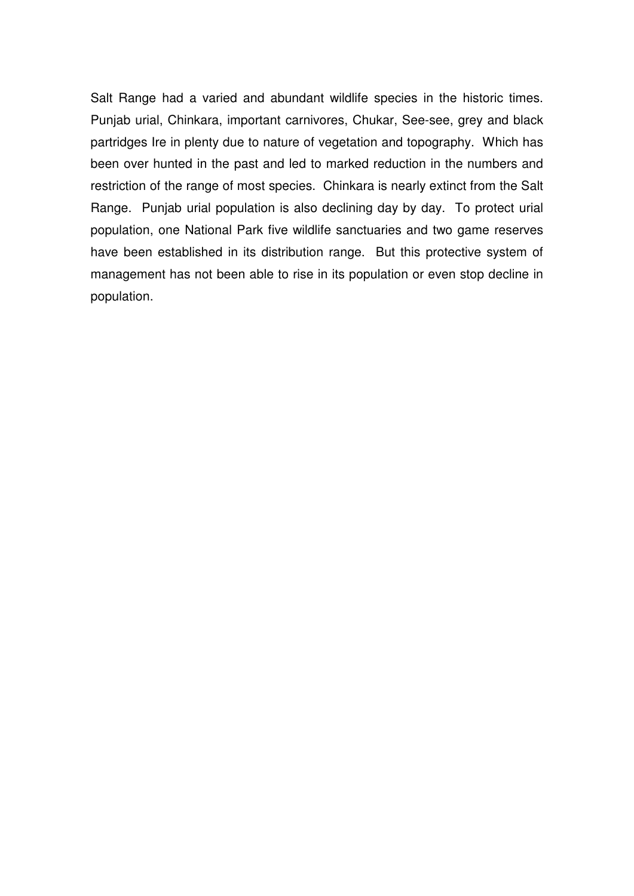Salt Range had a varied and abundant wildlife species in the historic times. Punjab urial, Chinkara, important carnivores, Chukar, See-see, grey and black partridges Ire in plenty due to nature of vegetation and topography. Which has been over hunted in the past and led to marked reduction in the numbers and restriction of the range of most species. Chinkara is nearly extinct from the Salt Range. Punjab urial population is also declining day by day. To protect urial population, one National Park five wildlife sanctuaries and two game reserves have been established in its distribution range. But this protective system of management has not been able to rise in its population or even stop decline in population.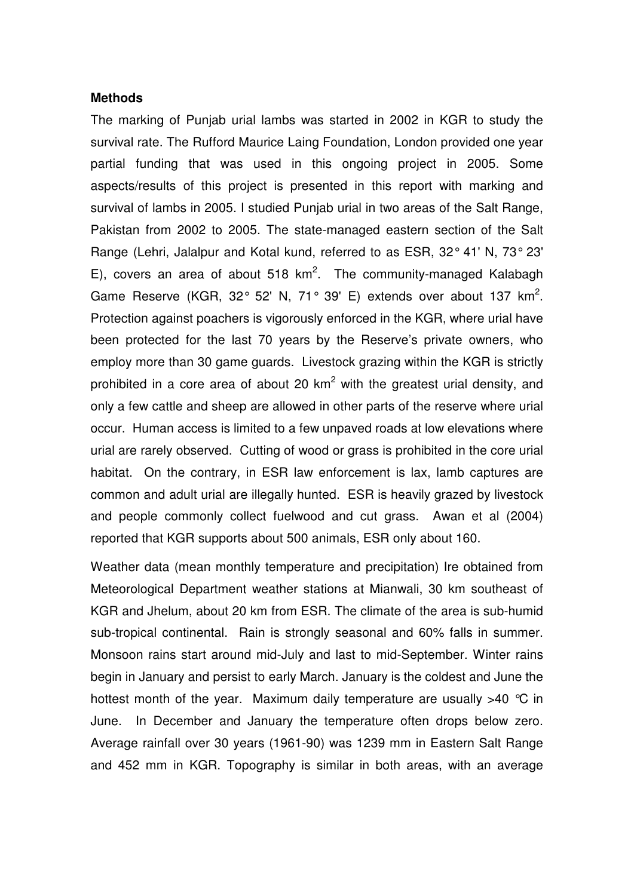#### **Methods**

The marking of Punjab urial lambs was started in 2002 in KGR to study the survival rate. The Rufford Maurice Laing Foundation, London provided one year partial funding that was used in this ongoing project in 2005. Some aspects/results of this project is presented in this report with marking and survival of lambs in 2005. I studied Punjab urial in two areas of the Salt Range, Pakistan from 2002 to 2005. The state-managed eastern section of the Salt Range (Lehri, Jalalpur and Kotal kund, referred to as ESR, 32° 41' N, 73° 23' E), covers an area of about 518  $km^2$ . The community-managed Kalabagh Game Reserve (KGR, 32 $^{\circ}$  52' N, 71 $^{\circ}$  39' E) extends over about 137 km<sup>2</sup>. Protection against poachers is vigorously enforced in the KGR, where urial have been protected for the last 70 years by the Reserve's private owners, who employ more than 30 game guards. Livestock grazing within the KGR is strictly prohibited in a core area of about 20  $km^2$  with the greatest urial density, and only a few cattle and sheep are allowed in other parts of the reserve where urial occur. Human access is limited to a few unpaved roads at low elevations where urial are rarely observed. Cutting of wood or grass is prohibited in the core urial habitat. On the contrary, in ESR law enforcement is lax, lamb captures are common and adult urial are illegally hunted. ESR is heavily grazed by livestock and people commonly collect fuelwood and cut grass. Awan et al (2004) reported that KGR supports about 500 animals, ESR only about 160.

Weather data (mean monthly temperature and precipitation) Ire obtained from Meteorological Department weather stations at Mianwali, 30 km southeast of KGR and Jhelum, about 20 km from ESR. The climate of the area is sub-humid sub-tropical continental. Rain is strongly seasonal and 60% falls in summer. Monsoon rains start around mid-July and last to mid-September. Winter rains begin in January and persist to early March. January is the coldest and June the hottest month of the year. Maximum daily temperature are usually  $>40$  °C in June. In December and January the temperature often drops below zero. Average rainfall over 30 years (1961-90) was 1239 mm in Eastern Salt Range and 452 mm in KGR. Topography is similar in both areas, with an average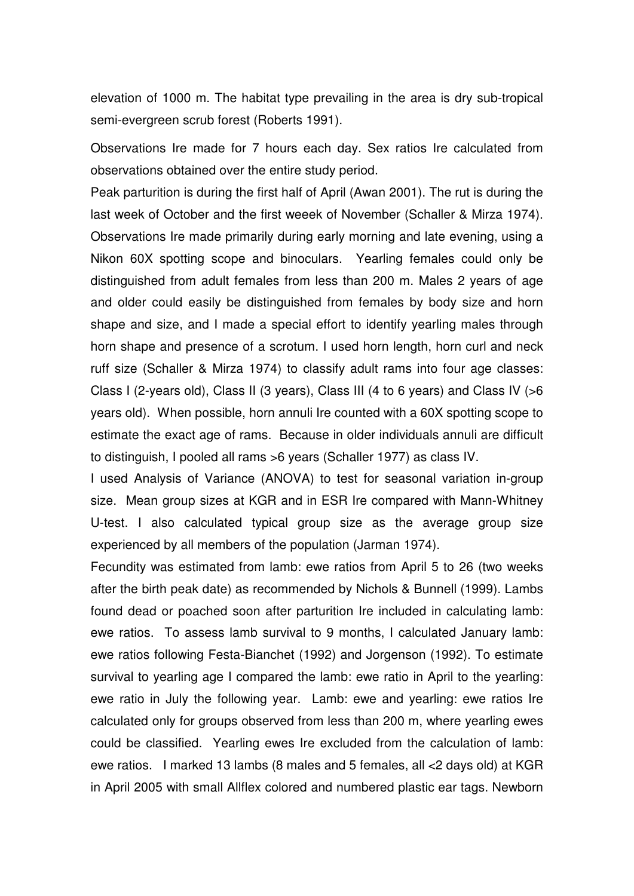elevation of 1000 m. The habitat type prevailing in the area is dry sub-tropical semi-evergreen scrub forest (Roberts 1991).

Observations Ire made for 7 hours each day. Sex ratios Ire calculated from observations obtained over the entire study period.

Peak parturition is during the first half of April (Awan 2001). The rut is during the last week of October and the first weeek of November (Schaller & Mirza 1974). Observations Ire made primarily during early morning and late evening, using a Nikon 60X spotting scope and binoculars. Yearling females could only be distinguished from adult females from less than 200 m. Males 2 years of age and older could easily be distinguished from females by body size and horn shape and size, and I made a special effort to identify yearling males through horn shape and presence of a scrotum. I used horn length, horn curl and neck ruff size (Schaller & Mirza 1974) to classify adult rams into four age classes: Class I (2-years old), Class II (3 years), Class III (4 to 6 years) and Class IV (>6 years old). When possible, horn annuli Ire counted with a 60X spotting scope to estimate the exact age of rams. Because in older individuals annuli are difficult to distinguish, I pooled all rams >6 years (Schaller 1977) as class IV.

I used Analysis of Variance (ANOVA) to test for seasonal variation in-group size. Mean group sizes at KGR and in ESR Ire compared with Mann-Whitney U-test. I also calculated typical group size as the average group size experienced by all members of the population (Jarman 1974).

Fecundity was estimated from lamb: ewe ratios from April 5 to 26 (two weeks after the birth peak date) as recommended by Nichols & Bunnell (1999). Lambs found dead or poached soon after parturition Ire included in calculating lamb: ewe ratios. To assess lamb survival to 9 months, I calculated January lamb: ewe ratios following Festa-Bianchet (1992) and Jorgenson (1992). To estimate survival to yearling age I compared the lamb: ewe ratio in April to the yearling: ewe ratio in July the following year. Lamb: ewe and yearling: ewe ratios Ire calculated only for groups observed from less than 200 m, where yearling ewes could be classified. Yearling ewes Ire excluded from the calculation of lamb: ewe ratios. I marked 13 lambs (8 males and 5 females, all <2 days old) at KGR in April 2005 with small Allflex colored and numbered plastic ear tags. Newborn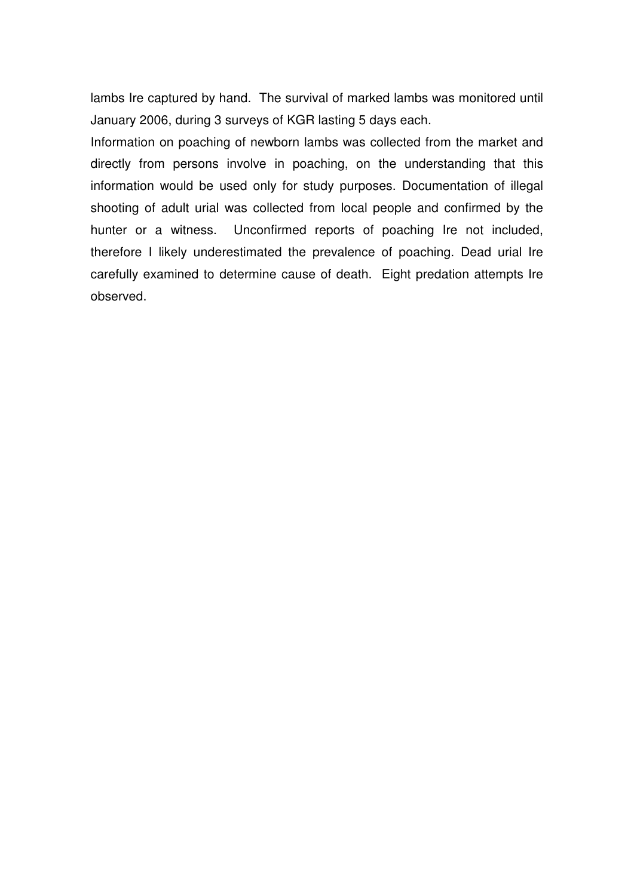lambs Ire captured by hand. The survival of marked lambs was monitored until January 2006, during 3 surveys of KGR lasting 5 days each.

Information on poaching of newborn lambs was collected from the market and directly from persons involve in poaching, on the understanding that this information would be used only for study purposes. Documentation of illegal shooting of adult urial was collected from local people and confirmed by the hunter or a witness. Unconfirmed reports of poaching Ire not included, therefore I likely underestimated the prevalence of poaching. Dead urial Ire carefully examined to determine cause of death. Eight predation attempts Ire observed.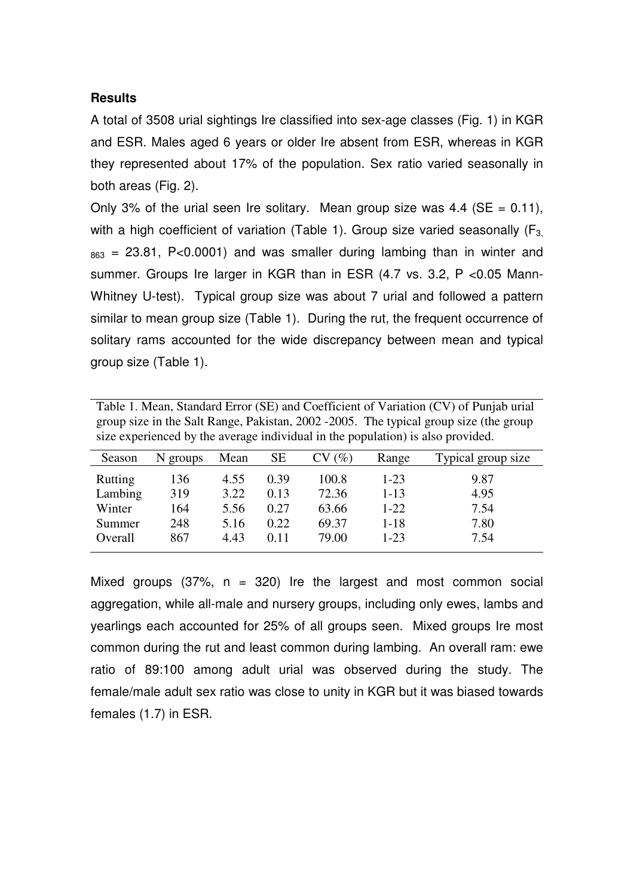#### **Results**

A total of 3508 urial sightings Ire classified into sex-age classes (Fig. 1) in KGR and ESR. Males aged 6 years or older Ire absent from ESR, whereas in KGR they represented about 17% of the population. Sex ratio varied seasonally in both areas (Fig. 2).

Only 3% of the urial seen Ire solitary. Mean group size was 4.4 ( $SE = 0.11$ ), with a high coefficient of variation (Table 1). Group size varied seasonally  $(F_3)$  $_{863}$  = 23.81, P<0.0001) and was smaller during lambing than in winter and summer. Groups Ire larger in KGR than in ESR (4.7 vs. 3.2, P <0.05 Mann-Whitney U-test). Typical group size was about 7 urial and followed a pattern similar to mean group size (Table 1). During the rut, the frequent occurrence of solitary rams accounted for the wide discrepancy between mean and typical group size (Table 1).

Table 1. Mean, Standard Error (SE) and Coefficient of Variation (CV) of Punjab urial group size in the Salt Range, Pakistan, 2002 -2005. The typical group size (the group size experienced by the average individual in the population) is also provided.

| Season  | N groups | Mean | SЕ   | $\mathscr{D}_{\!\!\mathit{O}})$ | Range    | Typical group size |
|---------|----------|------|------|---------------------------------|----------|--------------------|
| Rutting | 136      | 4.55 | 0.39 | 100.8                           | $1-23$   | 9.87               |
| Lambing | 319      | 3.22 | 0.13 | 72.36                           | $1 - 13$ | 4.95               |
| Winter  | 164      | 5.56 | 0.27 | 63.66                           | $1-22$   | 7.54               |
| Summer  | 248      | 5.16 | 0.22 | 69.37                           | 1-18     | 7.80               |
| Overall | 867      | 4.43 | 0.11 | 79.00                           | $1 - 23$ | 7.54               |
|         |          |      |      |                                 |          |                    |

Mixed groups  $(37\% , n = 320)$  Ire the largest and most common social aggregation, while all-male and nursery groups, including only ewes, lambs and yearlings each accounted for 25% of all groups seen. Mixed groups Ire most common during the rut and least common during lambing. An overall ram: ewe ratio of 89:100 among adult urial was observed during the study. The female/male adult sex ratio was close to unity in KGR but it was biased towards females (1.7) in ESR.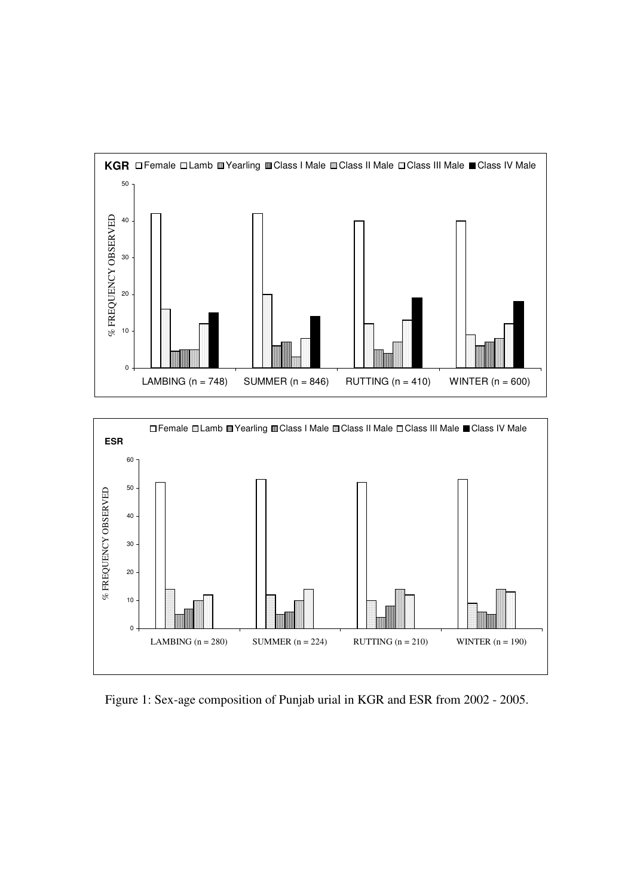



Figure 1: Sex-age composition of Punjab urial in KGR and ESR from 2002 - 2005.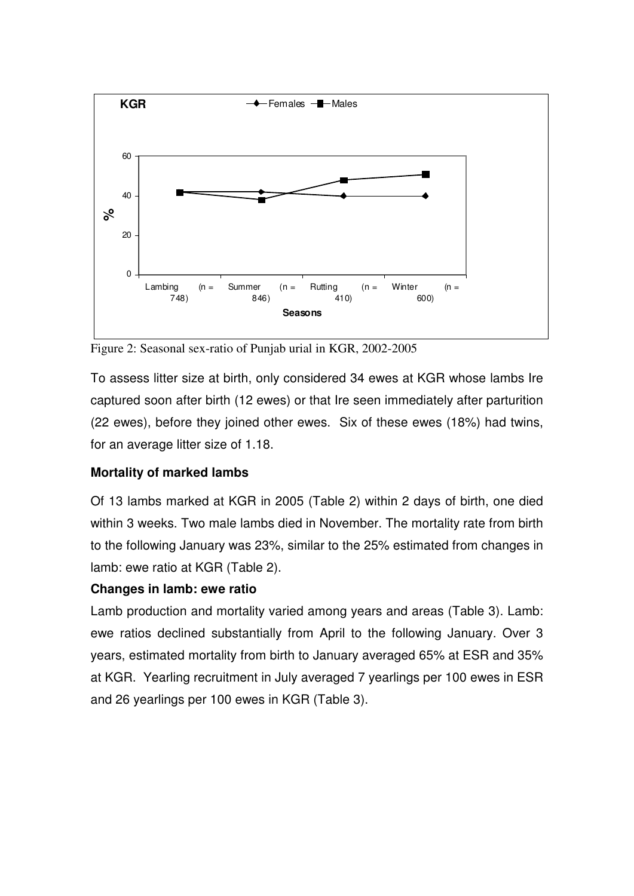

Figure 2: Seasonal sex-ratio of Punjab urial in KGR, 2002-2005

To assess litter size at birth, only considered 34 ewes at KGR whose lambs Ire captured soon after birth (12 ewes) or that Ire seen immediately after parturition (22 ewes), before they joined other ewes. Six of these ewes (18%) had twins, for an average litter size of 1.18.

# **Mortality of marked lambs**

Of 13 lambs marked at KGR in 2005 (Table 2) within 2 days of birth, one died within 3 weeks. Two male lambs died in November. The mortality rate from birth to the following January was 23%, similar to the 25% estimated from changes in lamb: ewe ratio at KGR (Table 2).

# **Changes in lamb: ewe ratio**

Lamb production and mortality varied among years and areas (Table 3). Lamb: ewe ratios declined substantially from April to the following January. Over 3 years, estimated mortality from birth to January averaged 65% at ESR and 35% at KGR. Yearling recruitment in July averaged 7 yearlings per 100 ewes in ESR and 26 yearlings per 100 ewes in KGR (Table 3).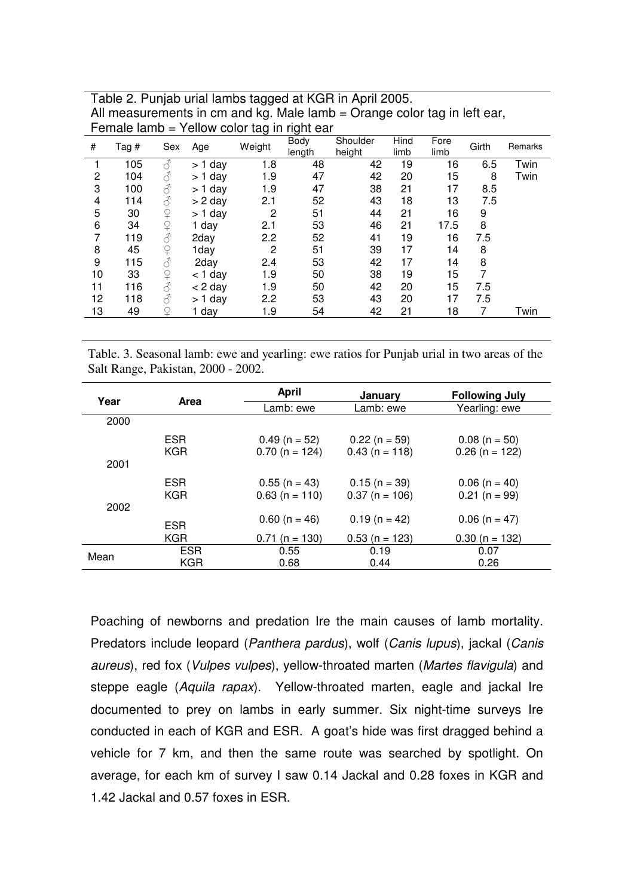| Table 2. Punjab urial lambs tagged at KGR in April 2005.                 |
|--------------------------------------------------------------------------|
| All measurements in cm and kg. Male lamb = Orange color tag in left ear, |
| Female lamb = Yellow color tag in right ear                              |

|    |       |                                        |           | ت -    | ັ              |                    |              |              |       |         |
|----|-------|----------------------------------------|-----------|--------|----------------|--------------------|--------------|--------------|-------|---------|
| #  | Tag # | Sex                                    | Age       | Weight | Body<br>length | Shoulder<br>height | Hind<br>limb | Fore<br>limb | Girth | Remarks |
|    | 105   | 8                                      | > 1 day   | 1.8    | 48             | 42                 | 19           | 16           | 6.5   | Twin    |
| 2  | 104   | 8                                      | $> 1$ day | 1.9    | 47             | 42                 | 20           | 15           | 8     | Twin    |
| 3  | 100   | 8                                      | $> 1$ day | 1.9    | 47             | 38                 | 21           | 17           | 8.5   |         |
| 4  | 114   | 8                                      | $> 2$ day | 2.1    | 52             | 43                 | 18           | 13           | 7.5   |         |
| 5  | 30    | $\Omega$                               | > 1 day   | 2      | 51             | 44                 | 21           | 16           | 9     |         |
| 6  | 34    | $\mathsf{P}$                           | 1 day     | 2.1    | 53             | 46                 | 21           | 17.5         | 8     |         |
| 7  | 119   | 8                                      | 2day      | 2.2    | 52             | 41                 | 19           | 16           | 7.5   |         |
| 8  | 45    | $\hbox{$\mathop{\textstyle\bigcirc}$}$ | 1day      | 2      | 51             | 39                 | 17           | 14           | 8     |         |
| 9  | 115   |                                        | 2day      | 2.4    | 53             | 42                 | 17           | 14           | 8     |         |
| 10 | 33    | $\overline{P}$                         | $<$ 1 day | 1.9    | 50             | 38                 | 19           | 15           | 7     |         |
| 11 | 116   | ♂                                      | $<$ 2 day | 1.9    | 50             | 42                 | 20           | 15           | 7.5   |         |
| 12 | 118   | ♂                                      | $> 1$ day | 2.2    | 53             | 43                 | 20           | 17           | 7.5   |         |
| 13 | 49    |                                        | 1 day     | 1.9    | 54             | 42                 | 21           | 18           | 7     | Twin    |
|    |       |                                        |           |        |                |                    |              |              |       |         |

Table. 3. Seasonal lamb: ewe and yearling: ewe ratios for Punjab urial in two areas of the Salt Range, Pakistan, 2000 - 2002.

| Year | Area       | <b>April</b>     | <b>January</b>   | <b>Following July</b> |  |
|------|------------|------------------|------------------|-----------------------|--|
|      |            | Lamb: ewe        | Lamb: ewe        | Yearling: ewe         |  |
| 2000 |            |                  |                  |                       |  |
|      | <b>ESR</b> | $0.49$ (n = 52)  | $0.22(n = 59)$   | $0.08$ (n = 50)       |  |
|      | <b>KGR</b> | $0.70$ (n = 124) | $0.43$ (n = 118) | $0.26$ (n = 122)      |  |
| 2001 |            |                  |                  |                       |  |
|      | <b>ESR</b> | $0.55$ (n = 43)  | $0.15(n = 39)$   | $0.06$ (n = 40)       |  |
|      | <b>KGR</b> | $0.63$ (n = 110) | $0.37$ (n = 106) | $0.21$ (n = 99)       |  |
| 2002 |            |                  |                  |                       |  |
|      | <b>ESR</b> | $0.60$ (n = 46)  | $0.19(n = 42)$   | $0.06$ (n = 47)       |  |
|      | <b>KGR</b> | $0.71$ (n = 130) | $0.53$ (n = 123) | $0.30(n = 132)$       |  |
| Mean | <b>ESR</b> | 0.55             | 0.19             | 0.07                  |  |
|      | <b>KGR</b> | 0.68             | 0.44             | 0.26                  |  |

Poaching of newborns and predation Ire the main causes of lamb mortality. Predators include leopard (Panthera pardus), wolf (Canis lupus), jackal (Canis aureus), red fox (Vulpes vulpes), yellow-throated marten (Martes flavigula) and steppe eagle (Aquila rapax). Yellow-throated marten, eagle and jackal Ire documented to prey on lambs in early summer. Six night-time surveys Ire conducted in each of KGR and ESR. A goat's hide was first dragged behind a vehicle for 7 km, and then the same route was searched by spotlight. On average, for each km of survey I saw 0.14 Jackal and 0.28 foxes in KGR and 1.42 Jackal and 0.57 foxes in ESR.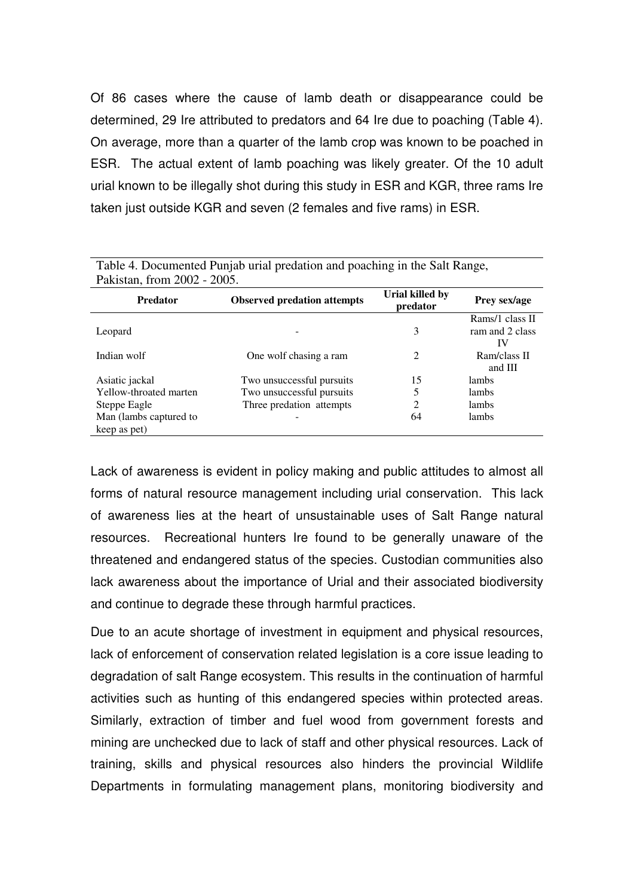Of 86 cases where the cause of lamb death or disappearance could be determined, 29 Ire attributed to predators and 64 Ire due to poaching (Table 4). On average, more than a quarter of the lamb crop was known to be poached in ESR. The actual extent of lamb poaching was likely greater. Of the 10 adult urial known to be illegally shot during this study in ESR and KGR, three rams Ire taken just outside KGR and seven (2 females and five rams) in ESR.

| - - - --------- - - ----,-- ------ - - ----- - --- ---<br>Pakistan, from 2002 - 2005. |                           |                             |                 |  |  |  |
|---------------------------------------------------------------------------------------|---------------------------|-----------------------------|-----------------|--|--|--|
| <b>Observed predation attempts</b><br><b>Predator</b>                                 |                           | Urial killed by<br>predator | Prey sex/age    |  |  |  |
|                                                                                       |                           |                             | Rams/1 class II |  |  |  |
| Leopard                                                                               |                           | 3                           | ram and 2 class |  |  |  |
|                                                                                       |                           |                             | IV              |  |  |  |
| Indian wolf                                                                           | One wolf chasing a ram    | 2                           | Ram/class II    |  |  |  |
|                                                                                       |                           |                             | and III         |  |  |  |
| Asiatic jackal                                                                        | Two unsuccessful pursuits | 15                          | <i>lambs</i>    |  |  |  |
| Yellow-throated marten                                                                | Two unsuccessful pursuits | 5                           | lambs           |  |  |  |
| Steppe Eagle                                                                          | Three predation attempts  | $\mathcal{L}$               | lambs           |  |  |  |
| Man (lambs captured to                                                                |                           | 64                          | lambs           |  |  |  |
| keep as pet)                                                                          |                           |                             |                 |  |  |  |

Table 4. Documented Punjab urial predation and poaching in the Salt Range,

Lack of awareness is evident in policy making and public attitudes to almost all forms of natural resource management including urial conservation. This lack of awareness lies at the heart of unsustainable uses of Salt Range natural resources. Recreational hunters Ire found to be generally unaware of the threatened and endangered status of the species. Custodian communities also lack awareness about the importance of Urial and their associated biodiversity and continue to degrade these through harmful practices.

Due to an acute shortage of investment in equipment and physical resources, lack of enforcement of conservation related legislation is a core issue leading to degradation of salt Range ecosystem. This results in the continuation of harmful activities such as hunting of this endangered species within protected areas. Similarly, extraction of timber and fuel wood from government forests and mining are unchecked due to lack of staff and other physical resources. Lack of training, skills and physical resources also hinders the provincial Wildlife Departments in formulating management plans, monitoring biodiversity and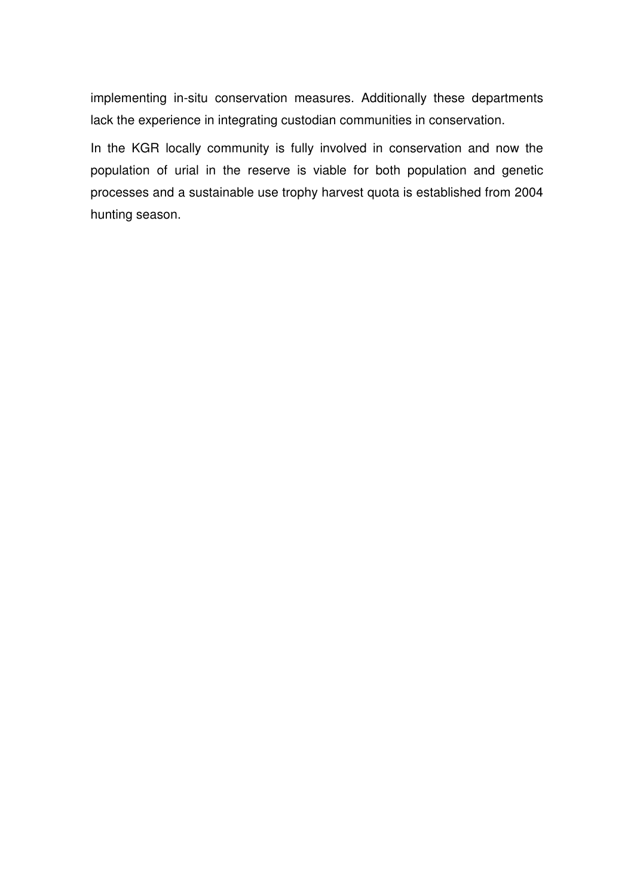implementing in-situ conservation measures. Additionally these departments lack the experience in integrating custodian communities in conservation.

In the KGR locally community is fully involved in conservation and now the population of urial in the reserve is viable for both population and genetic processes and a sustainable use trophy harvest quota is established from 2004 hunting season.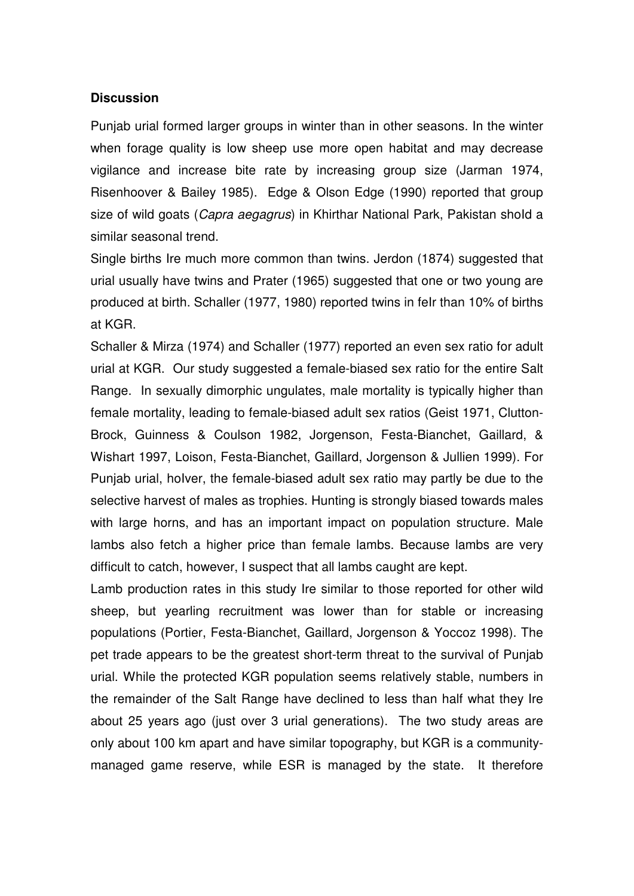#### **Discussion**

Punjab urial formed larger groups in winter than in other seasons. In the winter when forage quality is low sheep use more open habitat and may decrease vigilance and increase bite rate by increasing group size (Jarman 1974, Risenhoover & Bailey 1985). Edge & Olson Edge (1990) reported that group size of wild goats (*Capra aegagrus*) in Khirthar National Park, Pakistan shold a similar seasonal trend.

Single births Ire much more common than twins. Jerdon (1874) suggested that urial usually have twins and Prater (1965) suggested that one or two young are produced at birth. Schaller (1977, 1980) reported twins in feIr than 10% of births at KGR.

Schaller & Mirza (1974) and Schaller (1977) reported an even sex ratio for adult urial at KGR. Our study suggested a female-biased sex ratio for the entire Salt Range. In sexually dimorphic ungulates, male mortality is typically higher than female mortality, leading to female-biased adult sex ratios (Geist 1971, Clutton-Brock, Guinness & Coulson 1982, Jorgenson, Festa-Bianchet, Gaillard, & Wishart 1997, Loison, Festa-Bianchet, Gaillard, Jorgenson & Jullien 1999). For Punjab urial, holver, the female-biased adult sex ratio may partly be due to the selective harvest of males as trophies. Hunting is strongly biased towards males with large horns, and has an important impact on population structure. Male lambs also fetch a higher price than female lambs. Because lambs are very difficult to catch, however, I suspect that all lambs caught are kept.

Lamb production rates in this study Ire similar to those reported for other wild sheep, but yearling recruitment was lower than for stable or increasing populations (Portier, Festa-Bianchet, Gaillard, Jorgenson & Yoccoz 1998). The pet trade appears to be the greatest short-term threat to the survival of Punjab urial. While the protected KGR population seems relatively stable, numbers in the remainder of the Salt Range have declined to less than half what they Ire about 25 years ago (just over 3 urial generations). The two study areas are only about 100 km apart and have similar topography, but KGR is a communitymanaged game reserve, while ESR is managed by the state. It therefore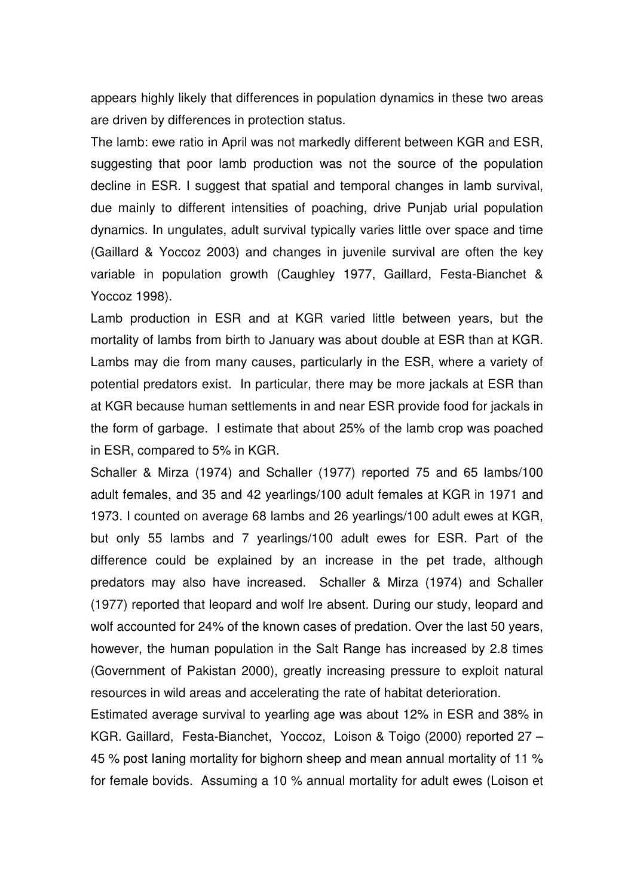appears highly likely that differences in population dynamics in these two areas are driven by differences in protection status.

The lamb: ewe ratio in April was not markedly different between KGR and ESR, suggesting that poor lamb production was not the source of the population decline in ESR. I suggest that spatial and temporal changes in lamb survival, due mainly to different intensities of poaching, drive Punjab urial population dynamics. In ungulates, adult survival typically varies little over space and time (Gaillard & Yoccoz 2003) and changes in juvenile survival are often the key variable in population growth (Caughley 1977, Gaillard, Festa-Bianchet & Yoccoz 1998).

Lamb production in ESR and at KGR varied little between years, but the mortality of lambs from birth to January was about double at ESR than at KGR. Lambs may die from many causes, particularly in the ESR, where a variety of potential predators exist. In particular, there may be more jackals at ESR than at KGR because human settlements in and near ESR provide food for jackals in the form of garbage. I estimate that about 25% of the lamb crop was poached in ESR, compared to 5% in KGR.

Schaller & Mirza (1974) and Schaller (1977) reported 75 and 65 lambs/100 adult females, and 35 and 42 yearlings/100 adult females at KGR in 1971 and 1973. I counted on average 68 lambs and 26 yearlings/100 adult ewes at KGR, but only 55 lambs and 7 yearlings/100 adult ewes for ESR. Part of the difference could be explained by an increase in the pet trade, although predators may also have increased. Schaller & Mirza (1974) and Schaller (1977) reported that leopard and wolf Ire absent. During our study, leopard and wolf accounted for 24% of the known cases of predation. Over the last 50 years, however, the human population in the Salt Range has increased by 2.8 times (Government of Pakistan 2000), greatly increasing pressure to exploit natural resources in wild areas and accelerating the rate of habitat deterioration.

Estimated average survival to yearling age was about 12% in ESR and 38% in KGR. Gaillard, Festa-Bianchet, Yoccoz, Loison & Toigo (2000) reported 27 – 45 % post Ianing mortality for bighorn sheep and mean annual mortality of 11 % for female bovids. Assuming a 10 % annual mortality for adult ewes (Loison et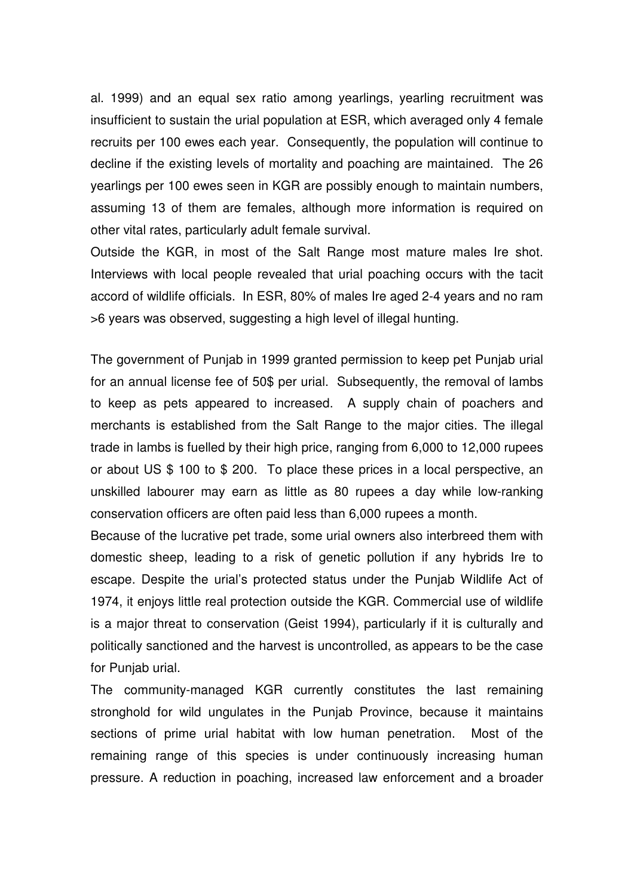al. 1999) and an equal sex ratio among yearlings, yearling recruitment was insufficient to sustain the urial population at ESR, which averaged only 4 female recruits per 100 ewes each year. Consequently, the population will continue to decline if the existing levels of mortality and poaching are maintained. The 26 yearlings per 100 ewes seen in KGR are possibly enough to maintain numbers, assuming 13 of them are females, although more information is required on other vital rates, particularly adult female survival.

Outside the KGR, in most of the Salt Range most mature males Ire shot. Interviews with local people revealed that urial poaching occurs with the tacit accord of wildlife officials. In ESR, 80% of males Ire aged 2-4 years and no ram >6 years was observed, suggesting a high level of illegal hunting.

The government of Punjab in 1999 granted permission to keep pet Punjab urial for an annual license fee of 50\$ per urial. Subsequently, the removal of lambs to keep as pets appeared to increased. A supply chain of poachers and merchants is established from the Salt Range to the major cities. The illegal trade in lambs is fuelled by their high price, ranging from 6,000 to 12,000 rupees or about US \$ 100 to \$ 200. To place these prices in a local perspective, an unskilled labourer may earn as little as 80 rupees a day while low-ranking conservation officers are often paid less than 6,000 rupees a month.

Because of the lucrative pet trade, some urial owners also interbreed them with domestic sheep, leading to a risk of genetic pollution if any hybrids Ire to escape. Despite the urial's protected status under the Punjab Wildlife Act of 1974, it enjoys little real protection outside the KGR. Commercial use of wildlife is a major threat to conservation (Geist 1994), particularly if it is culturally and politically sanctioned and the harvest is uncontrolled, as appears to be the case for Punjab urial.

The community-managed KGR currently constitutes the last remaining stronghold for wild ungulates in the Punjab Province, because it maintains sections of prime urial habitat with low human penetration. Most of the remaining range of this species is under continuously increasing human pressure. A reduction in poaching, increased law enforcement and a broader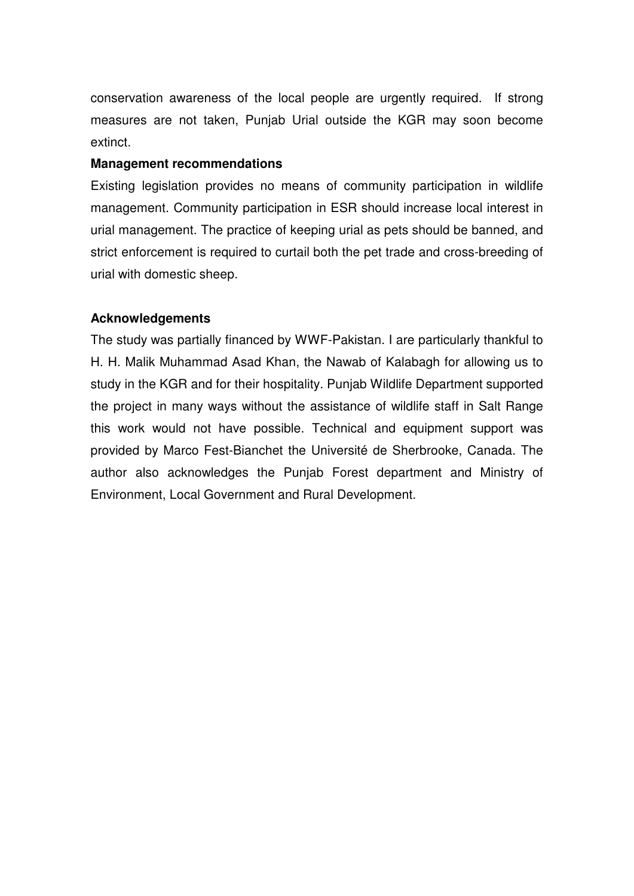conservation awareness of the local people are urgently required. If strong measures are not taken, Punjab Urial outside the KGR may soon become extinct.

#### **Management recommendations**

Existing legislation provides no means of community participation in wildlife management. Community participation in ESR should increase local interest in urial management. The practice of keeping urial as pets should be banned, and strict enforcement is required to curtail both the pet trade and cross-breeding of urial with domestic sheep.

# **Acknowledgements**

The study was partially financed by WWF-Pakistan. I are particularly thankful to H. H. Malik Muhammad Asad Khan, the Nawab of Kalabagh for allowing us to study in the KGR and for their hospitality. Punjab Wildlife Department supported the project in many ways without the assistance of wildlife staff in Salt Range this work would not have possible. Technical and equipment support was provided by Marco Fest-Bianchet the Université de Sherbrooke, Canada. The author also acknowledges the Punjab Forest department and Ministry of Environment, Local Government and Rural Development.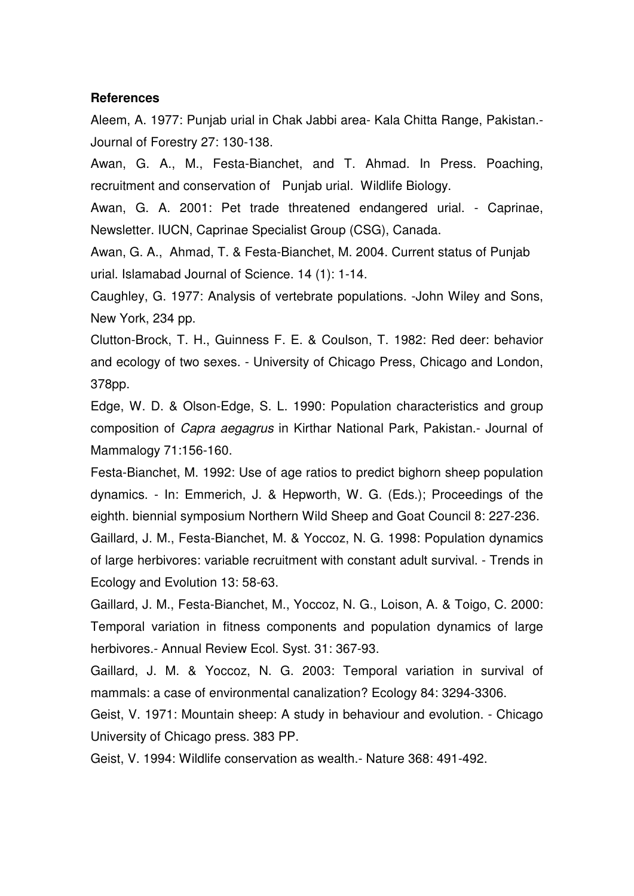#### **References**

Aleem, A. 1977: Punjab urial in Chak Jabbi area- Kala Chitta Range, Pakistan.- Journal of Forestry 27: 130-138.

Awan, G. A., M., Festa-Bianchet, and T. Ahmad. In Press. Poaching, recruitment and conservation of Punjab urial. Wildlife Biology.

Awan, G. A. 2001: Pet trade threatened endangered urial. - Caprinae, Newsletter. IUCN, Caprinae Specialist Group (CSG), Canada.

Awan, G. A., Ahmad, T. & Festa-Bianchet, M. 2004. Current status of Punjab urial. Islamabad Journal of Science. 14 (1): 1-14.

Caughley, G. 1977: Analysis of vertebrate populations. -John Wiley and Sons, New York, 234 pp.

Clutton-Brock, T. H., Guinness F. E. & Coulson, T. 1982: Red deer: behavior and ecology of two sexes. - University of Chicago Press, Chicago and London, 378pp.

Edge, W. D. & Olson-Edge, S. L. 1990: Population characteristics and group composition of Capra aegagrus in Kirthar National Park, Pakistan.- Journal of Mammalogy 71:156-160.

Festa-Bianchet, M. 1992: Use of age ratios to predict bighorn sheep population dynamics. - In: Emmerich, J. & Hepworth, W. G. (Eds.); Proceedings of the eighth. biennial symposium Northern Wild Sheep and Goat Council 8: 227-236. Gaillard, J. M., Festa-Bianchet, M. & Yoccoz, N. G. 1998: Population dynamics of large herbivores: variable recruitment with constant adult survival. - Trends in

Ecology and Evolution 13: 58-63.

Gaillard, J. M., Festa-Bianchet, M., Yoccoz, N. G., Loison, A. & Toigo, C. 2000: Temporal variation in fitness components and population dynamics of large herbivores.- Annual Review Ecol. Syst. 31: 367-93.

Gaillard, J. M. & Yoccoz, N. G. 2003: Temporal variation in survival of mammals: a case of environmental canalization? Ecology 84: 3294-3306.

Geist, V. 1971: Mountain sheep: A study in behaviour and evolution. - Chicago University of Chicago press. 383 PP.

Geist, V. 1994: Wildlife conservation as wealth.- Nature 368: 491-492.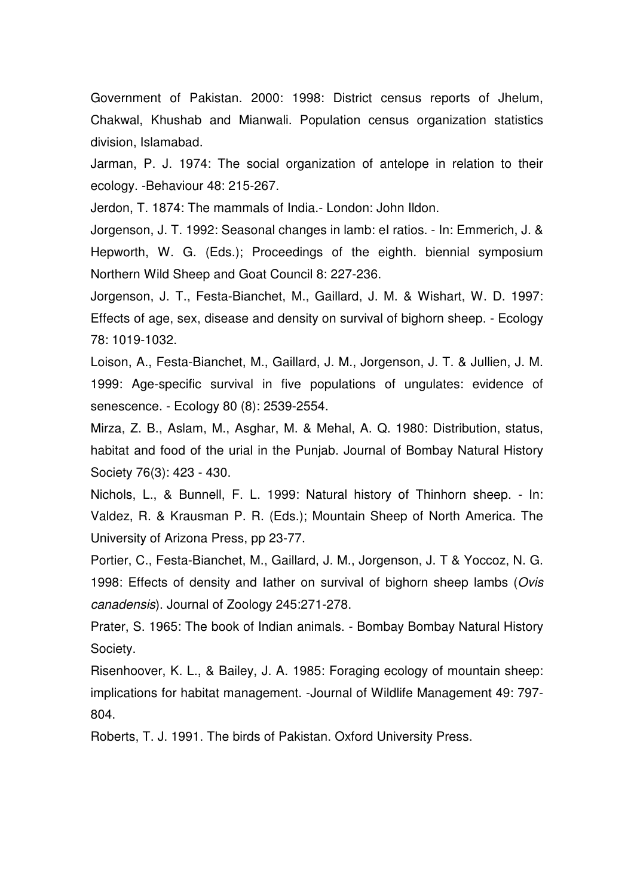Government of Pakistan. 2000: 1998: District census reports of Jhelum, Chakwal, Khushab and Mianwali. Population census organization statistics division, Islamabad.

Jarman, P. J. 1974: The social organization of antelope in relation to their ecology. -Behaviour 48: 215-267.

Jerdon, T. 1874: The mammals of India.- London: John Ildon.

Jorgenson, J. T. 1992: Seasonal changes in lamb: eI ratios. - In: Emmerich, J. & Hepworth, W. G. (Eds.); Proceedings of the eighth. biennial symposium Northern Wild Sheep and Goat Council 8: 227-236.

Jorgenson, J. T., Festa-Bianchet, M., Gaillard, J. M. & Wishart, W. D. 1997: Effects of age, sex, disease and density on survival of bighorn sheep. - Ecology 78: 1019-1032.

Loison, A., Festa-Bianchet, M., Gaillard, J. M., Jorgenson, J. T. & Jullien, J. M. 1999: Age-specific survival in five populations of ungulates: evidence of senescence. - Ecology 80 (8): 2539-2554.

Mirza, Z. B., Aslam, M., Asghar, M. & Mehal, A. Q. 1980: Distribution, status, habitat and food of the urial in the Punjab. Journal of Bombay Natural History Society 76(3): 423 - 430.

Nichols, L., & Bunnell, F. L. 1999: Natural history of Thinhorn sheep. - In: Valdez, R. & Krausman P. R. (Eds.); Mountain Sheep of North America. The University of Arizona Press, pp 23-77.

Portier, C., Festa-Bianchet, M., Gaillard, J. M., Jorgenson, J. T & Yoccoz, N. G. 1998: Effects of density and Iather on survival of bighorn sheep lambs (Ovis canadensis). Journal of Zoology 245:271-278.

Prater, S. 1965: The book of Indian animals. - Bombay Bombay Natural History Society.

Risenhoover, K. L., & Bailey, J. A. 1985: Foraging ecology of mountain sheep: implications for habitat management. -Journal of Wildlife Management 49: 797- 804.

Roberts, T. J. 1991. The birds of Pakistan. Oxford University Press.